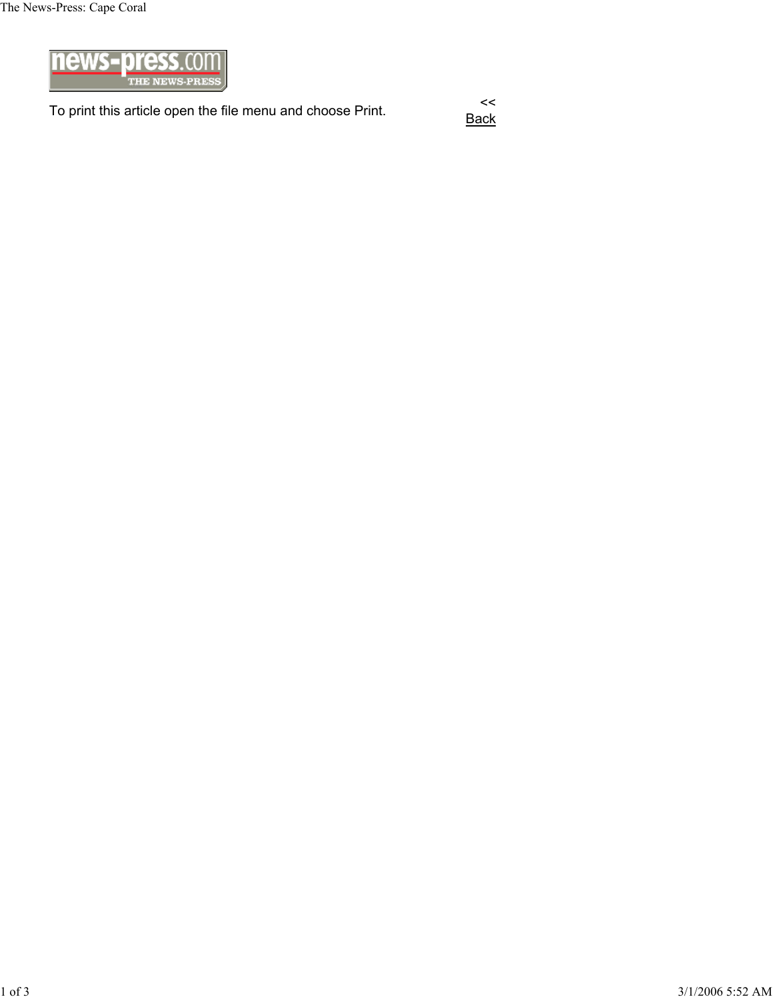The News-Press: Cape Coral



To print this article open the file menu and choose Print.

**Back**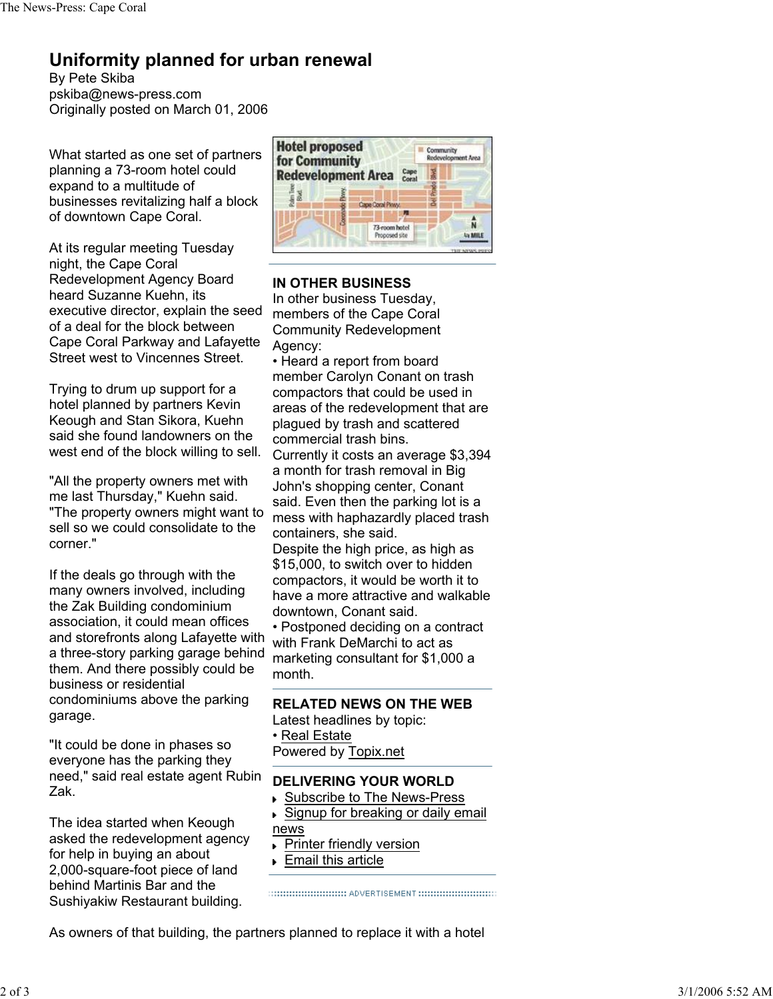## **Uniformity planned for urban renewal**

By Pete Skiba pskiba@news-press.com Originally posted on March 01, 2006

What started as one set of partners planning a 73-room hotel could expand to a multitude of businesses revitalizing half a block of downtown Cape Coral.

At its regular meeting Tuesday night, the Cape Coral Redevelopment Agency Board heard Suzanne Kuehn, its executive director, explain the seed of a deal for the block between Cape Coral Parkway and Lafayette Street west to Vincennes Street.

Trying to drum up support for a hotel planned by partners Kevin Keough and Stan Sikora, Kuehn said she found landowners on the west end of the block willing to sell.

"All the property owners met with me last Thursday," Kuehn said. "The property owners might want to sell so we could consolidate to the corner."

If the deals go through with the many owners involved, including the Zak Building condominium association, it could mean offices and storefronts along Lafayette with a three-story parking garage behind them. And there possibly could be business or residential condominiums above the parking garage.

"It could be done in phases so everyone has the parking they need," said real estate agent Rubin Zak.

The idea started when Keough asked the redevelopment agency for help in buying an about 2,000-square-foot piece of land behind Martinis Bar and the Sushiyakiw Restaurant building.



## **IN OTHER BUSINESS**

In other business Tuesday, members of the Cape Coral Community Redevelopment Agency:

• Heard a report from board member Carolyn Conant on trash compactors that could be used in areas of the redevelopment that are plagued by trash and scattered commercial trash bins.

Currently it costs an average \$3,394 a month for trash removal in Big John's shopping center, Conant said. Even then the parking lot is a mess with haphazardly placed trash containers, she said.

Despite the high price, as high as \$15,000, to switch over to hidden compactors, it would be worth it to have a more attractive and walkable downtown, Conant said.

• Postponed deciding on a contract with Frank DeMarchi to act as marketing consultant for \$1,000 a month.

## **RELATED NEWS ON THE WEB**

Latest headlines by topic:

• Real Estate

Powered by Topix.net

## **DELIVERING YOUR WORLD**

- ▶ Subscribe to The News-Press
- ► Signup for breaking or daily email news
- Printer friendly version
- Email this article

As owners of that building, the partners planned to replace it with a hotel